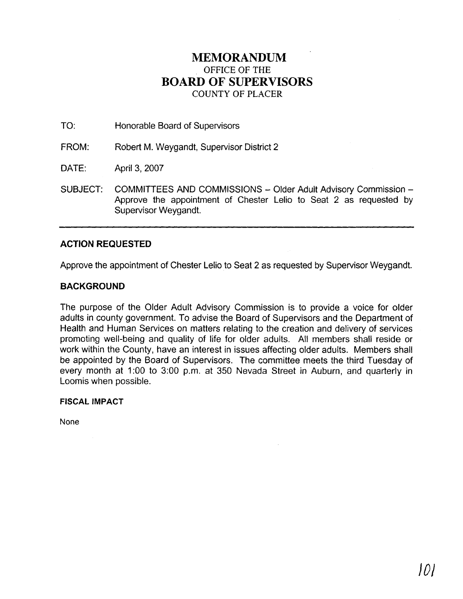## **MEMORANDUM**  OFFICE OF THE **BOARD OF SUPERVISORS**  COUNTY **OF** PLACER

TO: Honorable Board of Supervisors

FROM: Robert M. Weygandt, Supervisor District 2

DATE: April 3, 2007

SUBJECT: COMMITTEES AND COMMISSIONS - Older Adult Advisory Commission -Approve the appointment of Chester Lelio to Seat 2 as requested by Supervisor Weygandt.

## **ACTION REQUESTED**

Approve the appointment of Chester Lelio to Seat 2 as requested by Supervisor Weygandt.

## **BACKGROUND**

The purpose of the Older Adult Advisory Commission is to provide a voice for older adults in county government. To advise the Board of Supervisors and the Department of Health and Human Services on matters relating to the creation and delivery of services promoting well-being and quality of life for older adults. All members shall reside or work within the County, have an interest in issues affecting older adults. Members shall be appointed by the Board of Supervisors. The committee meets the third Tuesday of every month at 1:00 to 3:00 p.m. at 350 Nevada Street in Auburn, and quarterly in Loomis when possible.

## **FISCAL IMPACT**

None